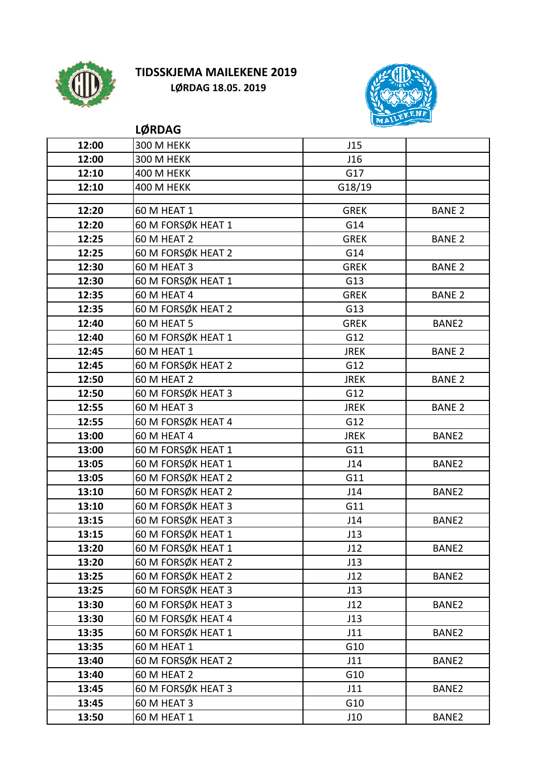

## TIDSSKJEMA MAILEKENE 2019 LØRDAG 18.05. 2019



|       | <b>LØRDAG</b>      | سنستعلم المتعاطي |               |
|-------|--------------------|------------------|---------------|
| 12:00 | 300 M HEKK         | J15              |               |
| 12:00 | 300 M HEKK         | J16              |               |
| 12:10 | <b>400 M HEKK</b>  | G17              |               |
| 12:10 | <b>400 M HEKK</b>  | G18/19           |               |
|       |                    |                  |               |
| 12:20 | 60 M HEAT 1        | <b>GREK</b>      | <b>BANE 2</b> |
| 12:20 | 60 M FORSØK HEAT 1 | G14              |               |
| 12:25 | 60 M HEAT 2        | <b>GREK</b>      | <b>BANE 2</b> |
| 12:25 | 60 M FORSØK HEAT 2 | G14              |               |
| 12:30 | 60 M HEAT 3        | <b>GREK</b>      | <b>BANE 2</b> |
| 12:30 | 60 M FORSØK HEAT 1 | G13              |               |
| 12:35 | 60 M HEAT 4        | <b>GREK</b>      | <b>BANE 2</b> |
| 12:35 | 60 M FORSØK HEAT 2 | G13              |               |
| 12:40 | 60 M HEAT 5        | <b>GREK</b>      | BANE2         |
| 12:40 | 60 M FORSØK HEAT 1 | G12              |               |
| 12:45 | 60 M HEAT 1        | <b>JREK</b>      | <b>BANE 2</b> |
| 12:45 | 60 M FORSØK HEAT 2 | G12              |               |
| 12:50 | 60 M HEAT 2        | <b>JREK</b>      | <b>BANE 2</b> |
| 12:50 | 60 M FORSØK HEAT 3 | G12              |               |
| 12:55 | 60 M HEAT 3        | <b>JREK</b>      | <b>BANE 2</b> |
| 12:55 | 60 M FORSØK HEAT 4 | G12              |               |
| 13:00 | 60 M HEAT 4        | <b>JREK</b>      | BANE2         |
| 13:00 | 60 M FORSØK HEAT 1 | G11              |               |
| 13:05 | 60 M FORSØK HEAT 1 | J14              | BANE2         |
| 13:05 | 60 M FORSØK HEAT 2 | G11              |               |
| 13:10 | 60 M FORSØK HEAT 2 | J14              | BANE2         |
| 13:10 | 60 M FORSØK HEAT 3 | G11              |               |
| 13:15 | 60 M FORSØK HEAT 3 | J14              | BANE2         |
| 13:15 | 60 M FORSØK HEAT 1 | J13              |               |
| 13:20 | 60 M FORSØK HEAT 1 | J12              | BANE2         |
| 13:20 | 60 M FORSØK HEAT 2 | J13              |               |
| 13:25 | 60 M FORSØK HEAT 2 | J12              | BANE2         |
| 13:25 | 60 M FORSØK HEAT 3 | J13              |               |
| 13:30 | 60 M FORSØK HEAT 3 | J12              | BANE2         |
| 13:30 | 60 M FORSØK HEAT 4 | J13              |               |
| 13:35 | 60 M FORSØK HEAT 1 | J11              | BANE2         |
| 13:35 | 60 M HEAT 1        | G10              |               |
| 13:40 | 60 M FORSØK HEAT 2 | J11              | BANE2         |
| 13:40 | 60 M HEAT 2        | G10              |               |
| 13:45 | 60 M FORSØK HEAT 3 | J11              | BANE2         |
| 13:45 | 60 M HEAT 3        | G10              |               |
| 13:50 | 60 M HEAT 1        | J10              | BANE2         |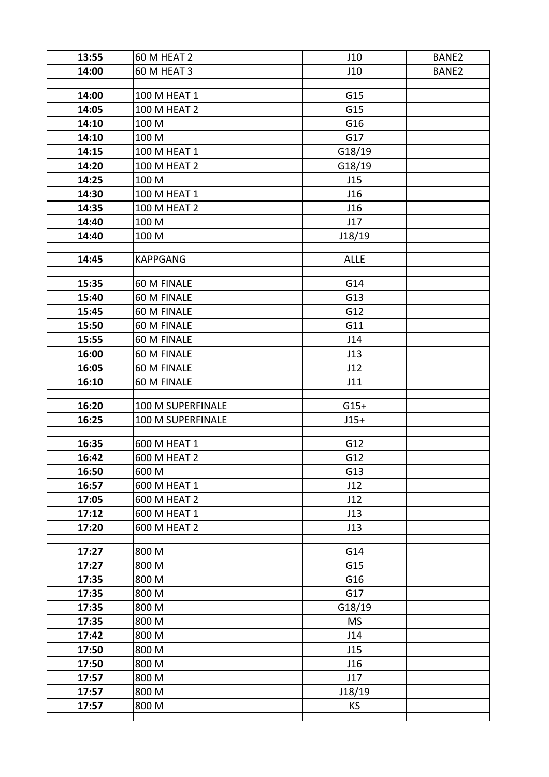| 13:55 | 60 M HEAT 2         | J10         | BANE2 |
|-------|---------------------|-------------|-------|
| 14:00 | 60 M HEAT 3         | J10         | BANE2 |
|       |                     |             |       |
| 14:00 | 100 M HEAT 1        | G15         |       |
| 14:05 | <b>100 M HEAT 2</b> | G15         |       |
| 14:10 | 100 M               | G16         |       |
| 14:10 | 100 M               | G17         |       |
| 14:15 | 100 M HEAT 1        | G18/19      |       |
| 14:20 | 100 M HEAT 2        | G18/19      |       |
| 14:25 | 100 M               | J15         |       |
| 14:30 | 100 M HEAT 1        | J16         |       |
| 14:35 | 100 M HEAT 2        | J16         |       |
| 14:40 | 100 M               | J17         |       |
| 14:40 | 100 M               | J18/19      |       |
| 14:45 | <b>KAPPGANG</b>     | <b>ALLE</b> |       |
| 15:35 | 60 M FINALE         | G14         |       |
| 15:40 | 60 M FINALE         | G13         |       |
| 15:45 | 60 M FINALE         | G12         |       |
| 15:50 | 60 M FINALE         | G11         |       |
| 15:55 | 60 M FINALE         | J14         |       |
| 16:00 | 60 M FINALE         | J13         |       |
| 16:05 | 60 M FINALE         | J12         |       |
| 16:10 | 60 M FINALE         | J11         |       |
|       |                     |             |       |
| 16:20 | 100 M SUPERFINALE   | $G15+$      |       |
| 16:25 | 100 M SUPERFINALE   | $J15+$      |       |
| 16:35 | 600 M HEAT 1        | G12         |       |
| 16:42 | 600 M HEAT 2        | G12         |       |
| 16:50 | 600 M               | G13         |       |
| 16:57 | 600 M HEAT 1        | J12         |       |
| 17:05 | 600 M HEAT 2        | J12         |       |
| 17:12 | 600 M HEAT 1        | J13         |       |
| 17:20 | 600 M HEAT 2        | J13         |       |
| 17:27 | 800 M               | G14         |       |
| 17:27 | 800 M               | G15         |       |
| 17:35 | 800 M               | G16         |       |
| 17:35 | 800 M               | G17         |       |
| 17:35 | 800 M               | G18/19      |       |
| 17:35 | 800 M               | <b>MS</b>   |       |
| 17:42 | 800 M               | J14         |       |
| 17:50 | 800 M               | J15         |       |
| 17:50 | 800 M               | J16         |       |
| 17:57 | 800 M               | J17         |       |
| 17:57 | 800 M               | J18/19      |       |
| 17:57 | 800 M               | <b>KS</b>   |       |
|       |                     |             |       |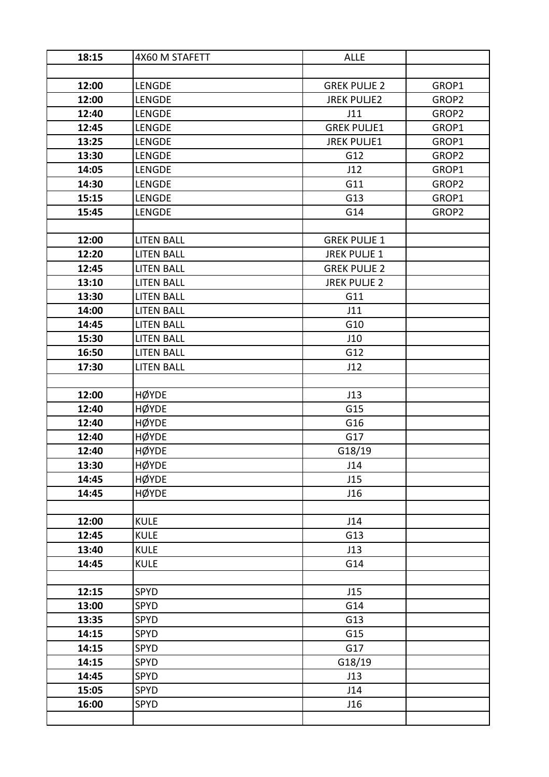| 18:15 | 4X60 M STAFETT    | <b>ALLE</b>         |       |
|-------|-------------------|---------------------|-------|
|       |                   |                     |       |
| 12:00 | <b>LENGDE</b>     | <b>GREK PULJE 2</b> | GROP1 |
| 12:00 | <b>LENGDE</b>     | <b>JREK PULJE2</b>  | GROP2 |
| 12:40 | LENGDE            | J11                 | GROP2 |
| 12:45 | <b>LENGDE</b>     | <b>GREK PULJE1</b>  | GROP1 |
| 13:25 | LENGDE            | <b>JREK PULJE1</b>  | GROP1 |
| 13:30 | <b>LENGDE</b>     | G12                 | GROP2 |
| 14:05 | LENGDE            | J12                 | GROP1 |
| 14:30 | <b>LENGDE</b>     | G11                 | GROP2 |
| 15:15 | <b>LENGDE</b>     | G13                 | GROP1 |
| 15:45 | <b>LENGDE</b>     | G14                 | GROP2 |
|       |                   |                     |       |
| 12:00 | <b>LITEN BALL</b> | <b>GREK PULJE 1</b> |       |
| 12:20 | <b>LITEN BALL</b> | <b>JREK PULJE 1</b> |       |
| 12:45 | <b>LITEN BALL</b> | <b>GREK PULJE 2</b> |       |
| 13:10 | <b>LITEN BALL</b> | <b>JREK PULJE 2</b> |       |
| 13:30 | <b>LITEN BALL</b> | G11                 |       |
| 14:00 | <b>LITEN BALL</b> | J11                 |       |
| 14:45 | <b>LITEN BALL</b> | G10                 |       |
| 15:30 | <b>LITEN BALL</b> | J10                 |       |
| 16:50 | <b>LITEN BALL</b> | G12                 |       |
| 17:30 | <b>LITEN BALL</b> | J12                 |       |
|       |                   |                     |       |
| 12:00 | <b>HØYDE</b>      | J13                 |       |
| 12:40 | <b>HØYDE</b>      | G15                 |       |
| 12:40 | <b>HØYDE</b>      | G16                 |       |
| 12:40 | <b>HØYDE</b>      | G17                 |       |
| 12:40 | <b>HØYDE</b>      | G18/19              |       |
| 13:30 | <b>HØYDE</b>      | J14                 |       |
| 14:45 | <b>HØYDE</b>      | J15                 |       |
| 14:45 | <b>HØYDE</b>      | J16                 |       |
|       |                   |                     |       |
| 12:00 | <b>KULE</b>       | J14                 |       |
| 12:45 | <b>KULE</b>       | G13                 |       |
| 13:40 | <b>KULE</b>       | J13                 |       |
| 14:45 | <b>KULE</b>       | G14                 |       |
|       |                   |                     |       |
| 12:15 | SPYD              | J15                 |       |
| 13:00 | SPYD              | G14                 |       |
| 13:35 | SPYD              | G13                 |       |
| 14:15 | SPYD              | G15                 |       |
| 14:15 | <b>SPYD</b>       | G17                 |       |
| 14:15 | <b>SPYD</b>       | G18/19              |       |
| 14:45 | SPYD              | J13                 |       |
| 15:05 | <b>SPYD</b>       | J14                 |       |
| 16:00 | SPYD              | J16                 |       |
|       |                   |                     |       |